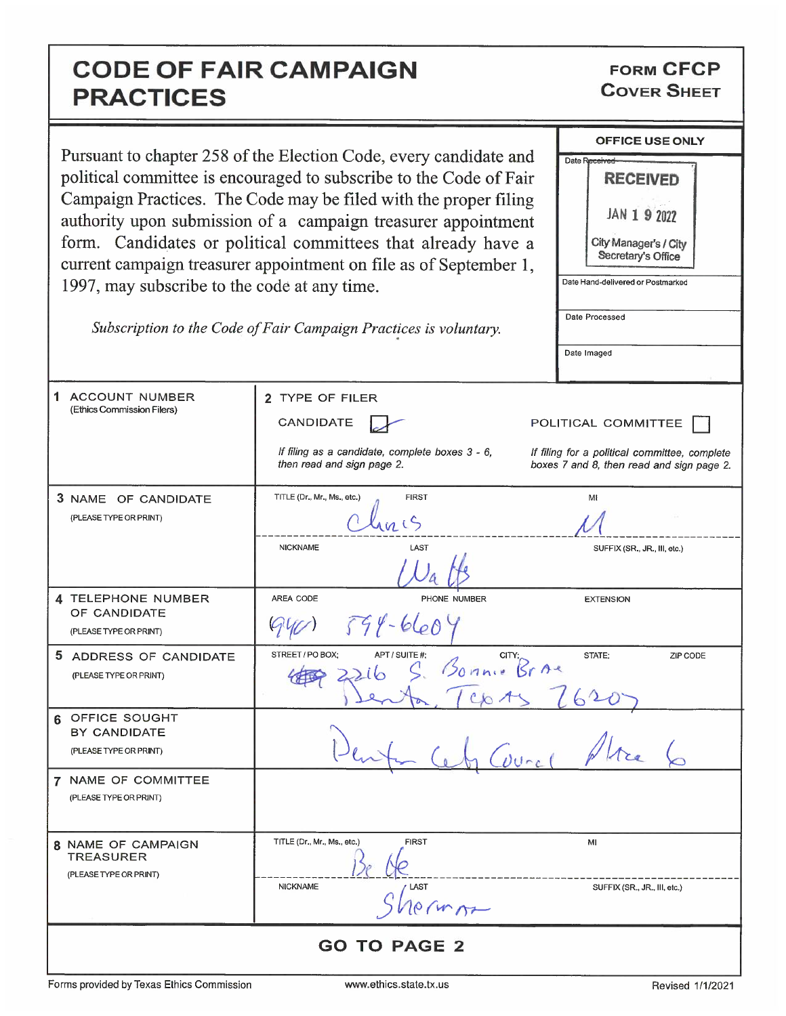## CODE OF FAIR CAMPAIGN PRACTICES

FORM CFCP COVER SHEET

| Pursuant to chapter 258 of the Election Code, every candidate and<br>political committee is encouraged to subscribe to the Code of Fair<br>Campaign Practices. The Code may be filed with the proper filing<br>authority upon submission of a campaign treasurer appointment |                                                                               | <b>OFFICE USE ONLY</b>                                                                     |
|------------------------------------------------------------------------------------------------------------------------------------------------------------------------------------------------------------------------------------------------------------------------------|-------------------------------------------------------------------------------|--------------------------------------------------------------------------------------------|
|                                                                                                                                                                                                                                                                              |                                                                               | Date Received<br><b>RECEIVED</b>                                                           |
|                                                                                                                                                                                                                                                                              |                                                                               |                                                                                            |
|                                                                                                                                                                                                                                                                              |                                                                               | JAN 1 9 2022                                                                               |
| form. Candidates or political committees that already have a<br>current campaign treasurer appointment on file as of September 1,                                                                                                                                            |                                                                               | City Manager's / City<br>Secretary's Office                                                |
| 1997, may subscribe to the code at any time.                                                                                                                                                                                                                                 |                                                                               | Date Hand-delivered or Postmarked                                                          |
|                                                                                                                                                                                                                                                                              |                                                                               | Date Processed                                                                             |
|                                                                                                                                                                                                                                                                              | Subscription to the Code of Fair Campaign Practices is voluntary.             |                                                                                            |
|                                                                                                                                                                                                                                                                              |                                                                               | Date Imaged                                                                                |
| 1.<br><b>ACCOUNT NUMBER</b><br>(Ethics Commission Filers)                                                                                                                                                                                                                    | 2 TYPE OF FILER                                                               |                                                                                            |
|                                                                                                                                                                                                                                                                              | CANDIDATE                                                                     | POLITICAL COMMITTEE                                                                        |
|                                                                                                                                                                                                                                                                              | If filing as a candidate, complete boxes 3 - 6,<br>then read and sign page 2. | If filing for a political committee, complete<br>boxes 7 and 8, then read and sign page 2. |
| 3 NAME OF CANDIDATE                                                                                                                                                                                                                                                          | TITLE (Dr., Mr., Ms., etc.)<br><b>FIRST</b>                                   | MI                                                                                         |
| (PLEASE TYPE OR PRINT)                                                                                                                                                                                                                                                       |                                                                               |                                                                                            |
|                                                                                                                                                                                                                                                                              | <b>NICKNAME</b><br>LAST                                                       | SUFFIX (SR., JR., III, etc.)                                                               |
| 4 TELEPHONE NUMBER<br>OF CANDIDATE                                                                                                                                                                                                                                           | AREA CODE<br>PHONE NUMBER                                                     | <b>EXTENSION</b>                                                                           |
| (PLEASE TYPE OR PRINT)                                                                                                                                                                                                                                                       | $594 - 6604$                                                                  |                                                                                            |
| 5 ADDRESS OF CANDIDATE                                                                                                                                                                                                                                                       | STREET / PO BOX:<br>APT / SUITE #:<br>S. Bonnie Braz                          | STATE:<br>ZIP CODE                                                                         |
| (PLEASE TYPE OR PRINT)                                                                                                                                                                                                                                                       |                                                                               |                                                                                            |
| OFFICE SOUGHT<br>6                                                                                                                                                                                                                                                           |                                                                               |                                                                                            |
| BY CANDIDATE<br>(PLEASE TYPE OR PRINT)                                                                                                                                                                                                                                       |                                                                               |                                                                                            |
| 7 NAME OF COMMITTEE                                                                                                                                                                                                                                                          |                                                                               |                                                                                            |
| (PLEASE TYPE OR PRINT)                                                                                                                                                                                                                                                       |                                                                               |                                                                                            |
| 8 NAME OF CAMPAIGN                                                                                                                                                                                                                                                           | <b>FIRST</b><br>TITLE (Dr., Mr., Ms., etc.)                                   | МΙ                                                                                         |
| <b>TREASURER</b><br>(PLEASE TYPE OR PRINT)                                                                                                                                                                                                                                   |                                                                               |                                                                                            |
|                                                                                                                                                                                                                                                                              | <b>NICKNAME</b><br>LAST<br>crimos                                             | SUFFIX (SR., JR., III, etc.)                                                               |
| <b>GO TO PAGE 2</b>                                                                                                                                                                                                                                                          |                                                                               |                                                                                            |

Forms provided by Texas Ethics Commission www.ethics.state.tx.us Revised 1/1/2021